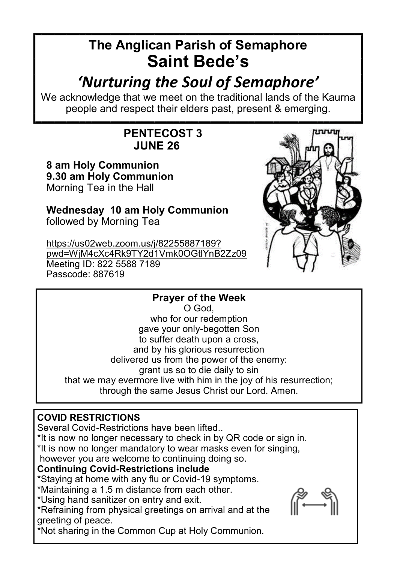# **The Anglican Parish of Semaphore Saint Bede's**

# *'Nurturing the Soul of Semaphore'*

We acknowledge that we meet on the traditional lands of the Kaurna people and respect their elders past, present & emerging.

# **PENTECOST 3 JUNE 26**

**8 am Holy Communion 9.30 am Holy Communion** Morning Tea in the Hall

**Wednesday 10 am Holy Communion** followed by Morning Tea

[https://us02web.zoom.us/j/82255887189?](https://us02web.zoom.us/j/82255887189?pwd=WjM4cXc4Rk9TY2d1Vmk0OGtlYnB2Zz09) [pwd=WjM4cXc4Rk9TY2d1Vmk0OGtlYnB2Zz09](https://us02web.zoom.us/j/82255887189?pwd=WjM4cXc4Rk9TY2d1Vmk0OGtlYnB2Zz09) Meeting ID: 822 5588 7189 Passcode: 887619



# **Prayer of the Week**

O God, who for our redemption gave your only-begotten Son to suffer death upon a cross, and by his glorious resurrection delivered us from the power of the enemy: grant us so to die daily to sin that we may evermore live with him in the joy of his resurrection; through the same Jesus Christ our Lord. Amen.

# **COVID RESTRICTIONS**

Several Covid-Restrictions have been lifted..

\*It is now no longer necessary to check in by QR code or sign in.

\*It is now no longer mandatory to wear masks even for singing,

however you are welcome to continuing doing so.

## **Continuing Covid-Restrictions include**

\*Staying at home with any flu or Covid-19 symptoms.

\*Maintaining a 1.5 m distance from each other.

\*Using hand sanitizer on entry and exit.

\*Refraining from physical greetings on arrival and at the greeting of peace.

\*Not sharing in the Common Cup at Holy Communion.

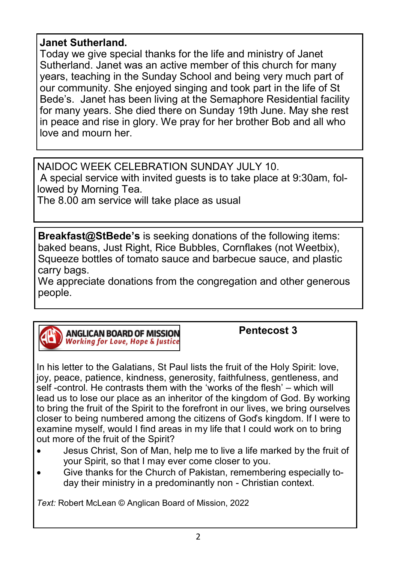## **Janet Sutherland.**

Today we give special thanks for the life and ministry of Janet Sutherland. Janet was an active member of this church for many years, teaching in the Sunday School and being very much part of our community. She enjoyed singing and took part in the life of St Bede's. Janet has been living at the Semaphore Residential facility for many years. She died there on Sunday 19th June. May she rest in peace and rise in glory. We pray for her brother Bob and all who love and mourn her.

NAIDOC WEEK CELEBRATION SUNDAY JULY 10. A special service with invited guests is to take place at 9:30am, followed by Morning Tea.

The 8.00 am service will take place as usual

**Breakfast@StBede's** is seeking donations of the following items: baked beans, Just Right, Rice Bubbles, Cornflakes (not Weetbix), Squeeze bottles of tomato sauce and barbecue sauce, and plastic carry bags.

We appreciate donations from the congregation and other generous people.



**Pentecost 3**

In his letter to the Galatians, St Paul lists the fruit of the Holy Spirit: love, joy, peace, patience, kindness, generosity, faithfulness, gentleness, and self -control. He contrasts them with the 'works of the flesh' – which will lead us to lose our place as an inheritor of the kingdom of God. By working to bring the fruit of the Spirit to the forefront in our lives, we bring ourselves closer to being numbered among the citizens of God's kingdom. If I were to examine myself, would I find areas in my life that I could work on to bring out more of the fruit of the Spirit?

- Jesus Christ, Son of Man, help me to live a life marked by the fruit of your Spirit, so that I may ever come closer to you.
- Give thanks for the Church of Pakistan, remembering especially today their ministry in a predominantly non - Christian context.

*Text:* Robert McLean © Anglican Board of Mission, 2022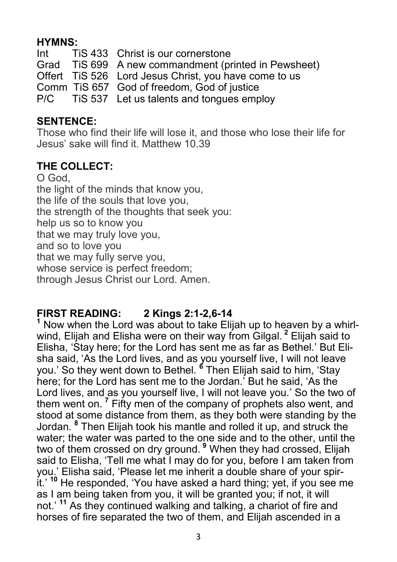## **HYMNS:**

Int TiS 433 Christ is our cornerstone Grad TiS 699 A new commandment (printed in Pewsheet) Offert TiS 526 Lord Jesus Christ, you have come to us Comm TiS 657 God of freedom, God of justice P/C TiS 537 Let us talents and tongues employ

## **SENTENCE:**

Those who find their life will lose it, and those who lose their life for Jesus' sake will find it. Matthew 10.39

## **THE COLLECT:**

O God, the light of the minds that know you, the life of the souls that love you, the strength of the thoughts that seek you: help us so to know you that we may truly love you, and so to love you that we may fully serve you, whose service is perfect freedom; through Jesus Christ our Lord. Amen.

# **FIRST READING: 2 Kings 2:1-2,6-14**

**<sup>1</sup>** Now when the Lord was about to take Elijah up to heaven by a whirlwind, Elijah and Elisha were on their way from Gilgal. **<sup>2</sup>** Elijah said to Elisha, 'Stay here; for the Lord has sent me as far as Bethel.' But Elisha said, 'As the Lord lives, and as you yourself live, I will not leave you.' So they went down to Bethel. **<sup>6</sup>** Then Elijah said to him, 'Stay here; for the Lord has sent me to the Jordan.' But he said, 'As the Lord lives, and as you yourself live, I will not leave you.' So the two of them went on. **<sup>7</sup>** Fifty men of the company of prophets also went, and stood at some distance from them, as they both were standing by the Jordan. **<sup>8</sup>** Then Elijah took his mantle and rolled it up, and struck the water; the water was parted to the one side and to the other, until the two of them crossed on dry ground. **<sup>9</sup>** When they had crossed, Elijah said to Elisha, 'Tell me what I may do for you, before I am taken from you.' Elisha said, 'Please let me inherit a double share of your spirit.' **<sup>10</sup>** He responded, 'You have asked a hard thing; yet, if you see me as I am being taken from you, it will be granted you; if not, it will not.' **<sup>11</sup>** As they continued walking and talking, a chariot of fire and horses of fire separated the two of them, and Elijah ascended in a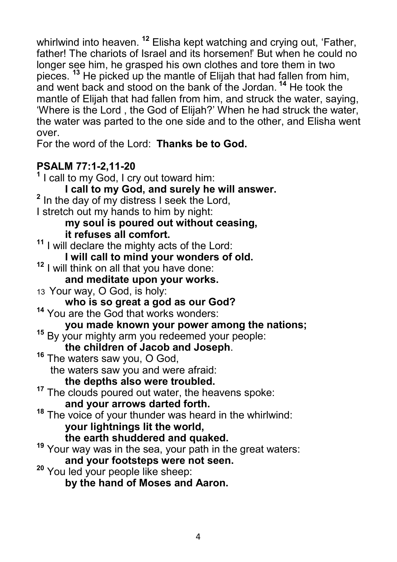whirlwind into heaven. **<sup>12</sup>** Elisha kept watching and crying out, 'Father, father! The chariots of Israel and its horsemen!' But when he could no longer see him, he grasped his own clothes and tore them in two pieces. **<sup>13</sup>** He picked up the mantle of Elijah that had fallen from him, and went back and stood on the bank of the Jordan. **<sup>14</sup>** He took the mantle of Elijah that had fallen from him, and struck the water, saying, 'Where is the Lord , the God of Elijah?' When he had struck the water, the water was parted to the one side and to the other, and Elisha went over.

For the word of the Lord: **Thanks be to God.**

# **PSALM 77:1-2,11-20**

**1** I call to my God, I cry out toward him: **I call to my God, and surely he will answer. 2** In the day of my distress I seek the Lord, I stretch out my hands to him by night: **my soul is poured out without ceasing, it refuses all comfort. <sup>11</sup>** I will declare the mighty acts of the Lord: **I will call to mind your wonders of old. <sup>12</sup>** I will think on all that you have done: **and meditate upon your works.** 13 Your way, O God, is holy: **who is so great a god as our God? <sup>14</sup>** You are the God that works wonders: **you made known your power among the nations; <sup>15</sup>** By your mighty arm you redeemed your people: **the children of Jacob and Joseph**. **<sup>16</sup>** The waters saw you, O God, the waters saw you and were afraid: **the depths also were troubled. <sup>17</sup>** The clouds poured out water, the heavens spoke: **and your arrows darted forth. <sup>18</sup>** The voice of your thunder was heard in the whirlwind: **your lightnings lit the world, the earth shuddered and quaked. <sup>19</sup>** Your way was in the sea, your path in the great waters: **and your footsteps were not seen. <sup>20</sup>** You led your people like sheep: **by the hand of Moses and Aaron.**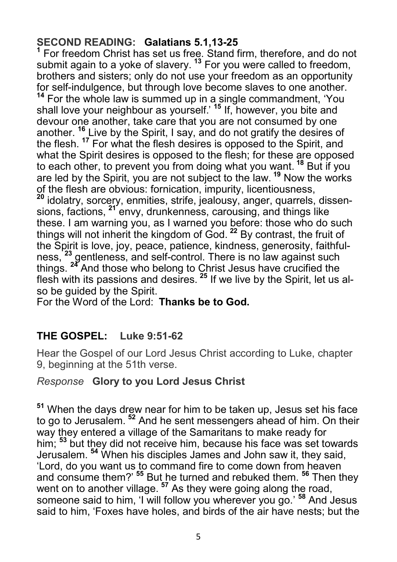## **SECOND READING: Galatians 5.1,13-25**

<sup>1</sup> For freedom Christ has set us free. Stand firm, therefore, and do not submit again to a yoke of slavery. **<sup>13</sup>** For you were called to freedom, brothers and sisters; only do not use your freedom as an opportunity for self-indulgence, but through love become slaves to one another. **<sup>14</sup>** For the whole law is summed up in a single commandment, 'You shall love your neighbour as yourself.' **<sup>15</sup>** If, however, you bite and devour one another, take care that you are not consumed by one another. **<sup>16</sup>** Live by the Spirit, I say, and do not gratify the desires of the flesh. **<sup>17</sup>** For what the flesh desires is opposed to the Spirit, and what the Spirit desires is opposed to the flesh; for these are opposed to each other, to prevent you from doing what you want. **<sup>18</sup>** But if you are led by the Spirit, you are not subject to the law. **<sup>19</sup>** Now the works of the flesh are obvious: fornication, impurity, licentiousness, **<sup>20</sup>** idolatry, sorcery, enmities, strife, jealousy, anger, quarrels, dissensions, factions, <sup>21</sup> envy, drunkenness, carousing, and things like these. I am warning you, as I warned you before: those who do such things will not inherit the kingdom of God. **<sup>22</sup>** By contrast, the fruit of the Spirit is love, joy, peace, patience, kindness, generosity, faithfulness, **<sup>23</sup>** gentleness, and self-control. There is no law against such things. **<sup>24</sup>** And those who belong to Christ Jesus have crucified the flesh with its passions and desires. **<sup>25</sup>** If we live by the Spirit, let us also be guided by the Spirit.

For the Word of the Lord: **Thanks be to God.**

# **THE GOSPEL: Luke 9:51-62**

Hear the Gospel of our Lord Jesus Christ according to Luke, chapter 9, beginning at the 51th verse.

## *Response* **Glory to you Lord Jesus Christ**

**<sup>51</sup>** When the days drew near for him to be taken up, Jesus set his face to go to Jerusalem. **<sup>52</sup>** And he sent messengers ahead of him. On their way they entered a village of the Samaritans to make ready for him; **<sup>53</sup>** but they did not receive him, because his face was set towards Jerusalem. **<sup>54</sup>** When his disciples James and John saw it, they said, 'Lord, do you want us to command fire to come down from heaven and consume them?' **<sup>55</sup>** But he turned and rebuked them. **<sup>56</sup>** Then they went on to another village. **<sup>57</sup>** As they were going along the road, someone said to him, 'I will follow you wherever you go.' **<sup>58</sup>** And Jesus said to him, 'Foxes have holes, and birds of the air have nests; but the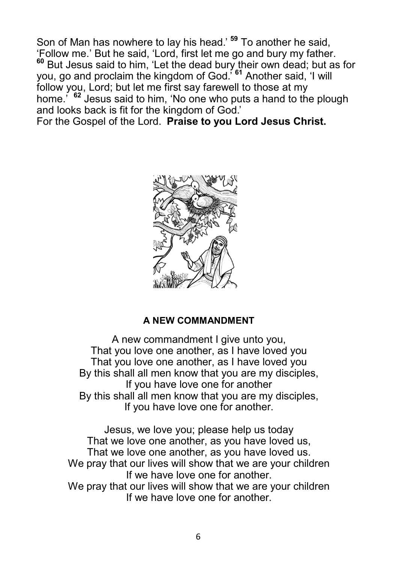Son of Man has nowhere to lay his head.' **<sup>59</sup>** To another he said, 'Follow me.' But he said, 'Lord, first let me go and bury my father. **<sup>60</sup>** But Jesus said to him, 'Let the dead bury their own dead; but as for you, go and proclaim the kingdom of God.' **<sup>61</sup>** Another said, 'I will follow you, Lord; but let me first say farewell to those at my home.' **<sup>62</sup>** Jesus said to him, 'No one who puts a hand to the plough and looks back is fit for the kingdom of God.'

For the Gospel of the Lord. **Praise to you Lord Jesus Christ.**



#### **A NEW COMMANDMENT**

A new commandment I give unto you. That you love one another, as I have loved you That you love one another, as I have loved you By this shall all men know that you are my disciples, If you have love one for another By this shall all men know that you are my disciples, If you have love one for another.

Jesus, we love you; please help us today That we love one another, as you have loved us, That we love one another, as you have loved us. We pray that our lives will show that we are your children If we have love one for another. We pray that our lives will show that we are your children If we have love one for another.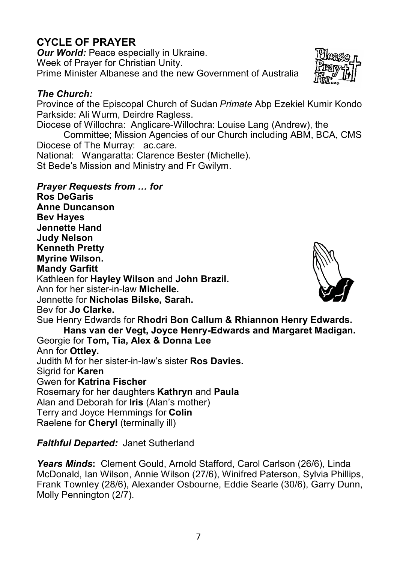# **CYCLE OF PRAYER**

*Our World: Peace especially in Ukraine.* Week of Prayer for Christian Unity. Prime Minister Albanese and the new Government of Australia

#### *The Church:*

Province of the Episcopal Church of Sudan *Primate* Abp Ezekiel Kumir Kondo Parkside: Ali Wurm, Deirdre Ragless.

Diocese of Willochra: Anglicare-Willochra: Louise Lang (Andrew), the

Committee; Mission Agencies of our Church including ABM, BCA, CMS Diocese of The Murray: ac.care.

National: Wangaratta: Clarence Bester (Michelle).

St Bede's Mission and Ministry and Fr Gwilym.

#### *Prayer Requests from … for*

**Ros DeGaris Anne Duncanson Bev Hayes Jennette Hand Judy Nelson Kenneth Pretty Myrine Wilson. Mandy Garfitt**  Kathleen for **Hayley Wilson** and **John Brazil.** Ann for her sister-in-law **Michelle.**  Jennette for **Nicholas Bilske, Sarah.** Bev for **Jo Clarke.** Sue Henry Edwards for **Rhodri Bon Callum & Rhiannon Henry Edwards. Hans van der Vegt, Joyce Henry-Edwards and Margaret Madigan.** Georgie for **Tom, Tia, Alex & Donna Lee** Ann for **Ottley.**  Judith M for her sister-in-law's sister **Ros Davies.** Sigrid for **Karen**  Gwen for **Katrina Fischer** Rosemary for her daughters **Kathryn** and **Paula** Alan and Deborah for **Iris** (Alan's mother) Terry and Joyce Hemmings for **Colin** Raelene for **Cheryl** (terminally ill)

## *Faithful Departed:* Janet Sutherland

*Years Minds***:** Clement Gould, Arnold Stafford, Carol Carlson (26/6), Linda McDonald, Ian Wilson, Annie Wilson (27/6), Winifred Paterson, Sylvia Phillips, Frank Townley (28/6), Alexander Osbourne, Eddie Searle (30/6), Garry Dunn, Molly Pennington (2/7).